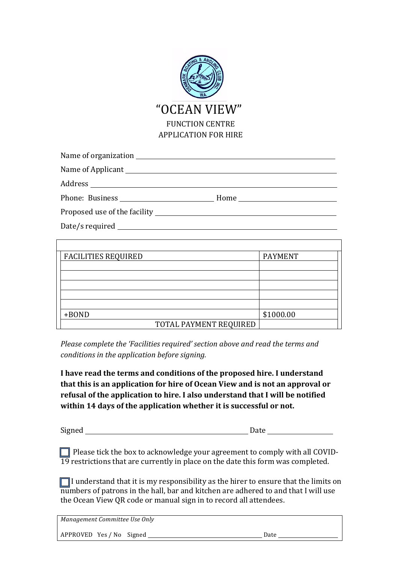

| Name of organization                |  |
|-------------------------------------|--|
| Name of Applicant Name of Applicant |  |
|                                     |  |
| Phone: Business                     |  |
|                                     |  |
|                                     |  |

Date/s required

| <b>FACILITIES REQUIRED</b> | <b>PAYMENT</b> |
|----------------------------|----------------|
|                            |                |
|                            |                |
|                            |                |
|                            |                |
|                            |                |
| +BOND                      | \$1000.00      |
| TOTAL PAYMENT REQUIRED     |                |

*Please complete the 'Facilities required' section above and read the terms and conditions in the application before signing.* 

I have read the terms and conditions of the proposed hire. I understand that this is an application for hire of Ocean View and is not an approval or refusal of the application to hire. I also understand that I will be notified within 14 days of the application whether it is successful or not.

Signed Signed and Date of the Second Signed Signed and Date of the Second Signed Signed and Date of the Date of the Date of the Date of the Date of the Date of the Date of the Date of the Date of the Date of the Date of th

 $\Box$  Please tick the box to acknowledge your agreement to comply with all COVID- $\overline{19}$  restrictions that are currently in place on the date this form was completed.

 $\Box$  I understand that it is my responsibility as the hirer to ensure that the limits on numbers of patrons in the hall, bar and kitchen are adhered to and that I will use the Ocean View QR code or manual sign in to record all attendees.

*Management Committee Use Only*

APPROVED Yes / No Signed Date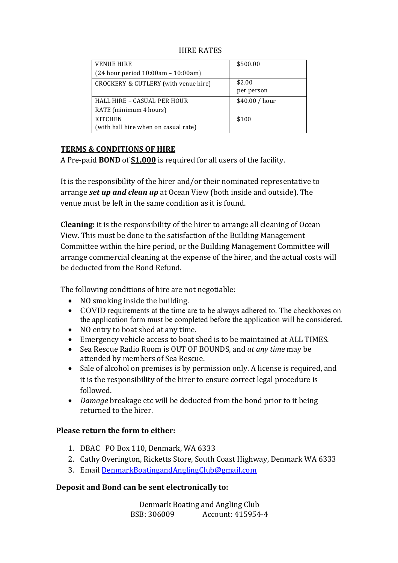| <b>VENUE HIRE</b>                    | \$500.00       |
|--------------------------------------|----------------|
| (24 hour period 10:00am - 10:00am)   |                |
| CROCKERY & CUTLERY (with venue hire) | \$2.00         |
|                                      | per person     |
| HALL HIRE - CASUAL PER HOUR          | \$40.00 / hour |
| RATE (minimum 4 hours)               |                |
| <b>KITCHEN</b>                       | \$100          |
| (with hall hire when on casual rate) |                |

#### **HIRE RATES**

#### **TERMS & CONDITIONS OF HIRE**

A Pre-paid **BOND** of **\$1,000** is required for all users of the facility.

It is the responsibility of the hirer and/or their nominated representative to arrange *set up and clean up* at Ocean View (both inside and outside). The venue must be left in the same condition as it is found.

**Cleaning:** it is the responsibility of the hirer to arrange all cleaning of Ocean View. This must be done to the satisfaction of the Building Management Committee within the hire period, or the Building Management Committee will arrange commercial cleaning at the expense of the hirer, and the actual costs will be deducted from the Bond Refund.

The following conditions of hire are not negotiable:

- $\bullet$  NO smoking inside the building.
- COVID requirements at the time are to be always adhered to. The checkboxes on the application form must be completed before the application will be considered.
- NO entry to boat shed at any time.
- Emergency vehicle access to boat shed is to be maintained at ALL TIMES.
- Sea Rescue Radio Room is OUT OF BOUNDS, and *at any time* may be attended by members of Sea Rescue.
- Sale of alcohol on premises is by permission only. A license is required, and it is the responsibility of the hirer to ensure correct legal procedure is followed.
- *Damage* breakage etc will be deducted from the bond prior to it being returned to the hirer.

## **Please return the form to either:**

- 1. DBAC PO Box 110, Denmark, WA 6333
- 2. Cathy Overington, Ricketts Store, South Coast Highway, Denmark WA 6333
- 3. Email DenmarkBoatingandAnglingClub@gmail.com

## **Deposit and Bond can be sent electronically to:**

Denmark Boating and Angling Club BSB: 306009 Account: 415954-4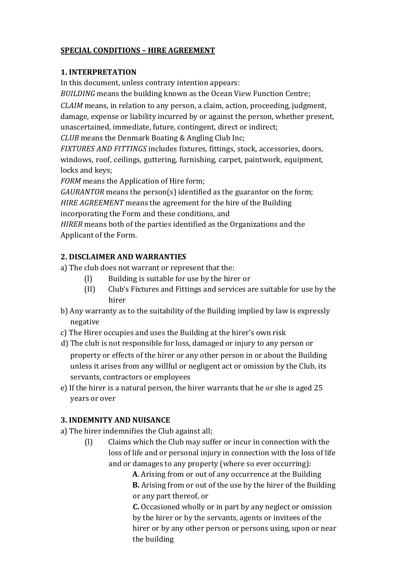# **SPECIAL CONDITIONS – HIRE AGREEMENT**

## **1. INTERPRETATION**

In this document, unless contrary intention appears:

*BUILDING* means the building known as the Ocean View Function Centre;

*CLAIM* means, in relation to any person, a claim, action, proceeding, judgment, damage, expense or liability incurred by or against the person, whether present, unascertained, immediate, future, contingent, direct or indirect;

*CLUB* means the Denmark Boating & Angling Club Inc;

*FIXTURES AND FITTINGS* includes fixtures, fittings, stock, accessories, doors, windows, roof, ceilings, guttering, furnishing, carpet, paintwork, equipment, locks and keys;

*FORM* means the Application of Hire form;

*GAURANTOR* means the person(s) identified as the guarantor on the form; *HIRE AGREEMENT* means the agreement for the hire of the Building incorporating the Form and these conditions, and

*HIRER* means both of the parties identified as the Organizations and the Applicant of the Form.

# **2. DISCLAIMER AND WARRANTIES**

a) The club does not warrant or represent that the:

- (I) Building is suitable for use by the hirer or
- (II) Club's Fixtures and Fittings and services are suitable for use by the hirer
- b) Any warranty as to the suitability of the Building implied by law is expressly negative
- c) The Hirer occupies and uses the Building at the hirer's own risk
- d) The club is not responsible for loss, damaged or injury to any person or property or effects of the hirer or any other person in or about the Building unless it arises from any willful or negligent act or omission by the Club, its servants, contractors or employees
- e) If the hirer is a natural person, the hirer warrants that he or she is aged 25 years or over

# **3. INDEMNITY AND NUISANCE**

- a) The hirer indemnifies the Club against all;
	- (I) Claims which the Club may suffer or incur in connection with the loss of life and or personal injury in connection with the loss of life and or damages to any property (where so ever occurring):

A. Arising from or out of any occurrence at the Building **B.** Arising from or out of the use by the hirer of the Building or any part thereof, or

**C.** Occasioned wholly or in part by any neglect or omission by the hirer or by the servants, agents or invitees of the hirer or by any other person or persons using, upon or near the building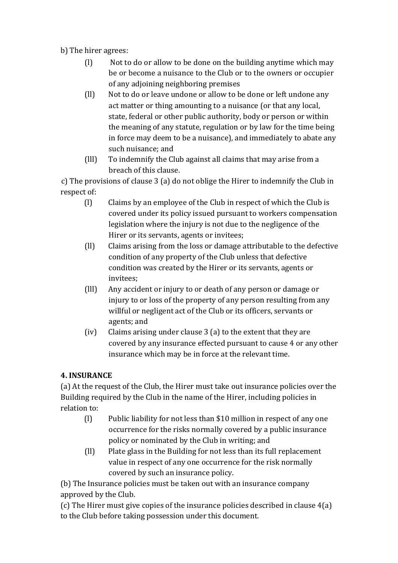b) The hirer agrees:

- $(1)$  Not to do or allow to be done on the building anytime which may be or become a nuisance to the Club or to the owners or occupier of any adjoining neighboring premises
- (ll) Not to do or leave undone or allow to be done or left undone any act matter or thing amounting to a nuisance (or that any local, state, federal or other public authority, body or person or within the meaning of any statute, regulation or by law for the time being in force may deem to be a nuisance), and immediately to abate any such nuisance; and
- (III) To indemnify the Club against all claims that may arise from a breach of this clause.

c) The provisions of clause 3 (a) do not oblige the Hirer to indemnify the Club in respect of:

- $(l)$  Claims by an employee of the Club in respect of which the Club is covered under its policy issued pursuant to workers compensation legislation where the injury is not due to the negligence of the Hirer or its servants, agents or invitees;
- $\begin{bmatrix} \n\end{bmatrix}$  Claims arising from the loss or damage attributable to the defective condition of any property of the Club unless that defective condition was created by the Hirer or its servants, agents or invitees;
- (III) Any accident or injury to or death of any person or damage or injury to or loss of the property of any person resulting from any willful or negligent act of the Club or its officers, servants or agents; and
- (iv) Claims arising under clause  $3$  (a) to the extent that they are covered by any insurance effected pursuant to cause 4 or any other insurance which may be in force at the relevant time.

# **4. INSURANCE**

(a) At the request of the Club, the Hirer must take out insurance policies over the Building required by the Club in the name of the Hirer, including policies in relation to:

- (I) Public liability for not less than \$10 million in respect of any one occurrence for the risks normally covered by a public insurance policy or nominated by the Club in writing; and
- (II) Plate glass in the Building for not less than its full replacement value in respect of any one occurrence for the risk normally covered by such an insurance policy.

(b) The Insurance policies must be taken out with an insurance company approved by the Club.

(c) The Hirer must give copies of the insurance policies described in clause  $4(a)$ to the Club before taking possession under this document.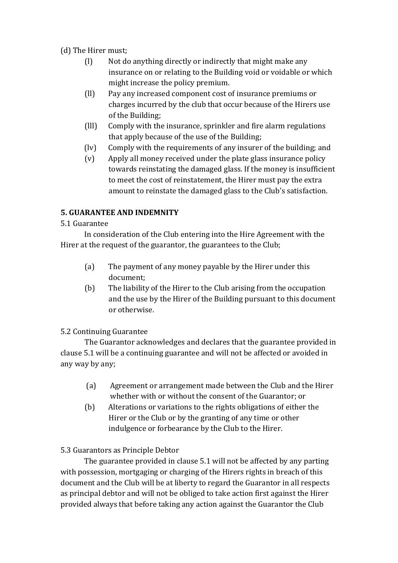(d) The Hirer must;

- $\begin{bmatrix} 1 \end{bmatrix}$  Not do anything directly or indirectly that might make any insurance on or relating to the Building void or voidable or which might increase the policy premium.
- (II) Pay any increased component cost of insurance premiums or charges incurred by the club that occur because of the Hirers use of the Building:
- (III) Comply with the insurance, sprinkler and fire alarm regulations that apply because of the use of the Building;
- (lv) Comply with the requirements of any insurer of the building; and
- $(v)$  Apply all money received under the plate glass insurance policy towards reinstating the damaged glass. If the money is insufficient to meet the cost of reinstatement, the Hirer must pay the extra amount to reinstate the damaged glass to the Club's satisfaction.

## **5. GUARANTEE AND INDEMNITY**

## 5.1 Guarantee

In consideration of the Club entering into the Hire Agreement with the Hirer at the request of the guarantor, the guarantees to the Club;

- (a) The payment of any money payable by the Hirer under this document;
- (b) The liability of the Hirer to the Club arising from the occupation and the use by the Hirer of the Building pursuant to this document or otherwise.

## 5.2 Continuing Guarantee

The Guarantor acknowledges and declares that the guarantee provided in clause 5.1 will be a continuing guarantee and will not be affected or avoided in any way by any:

- (a) Agreement or arrangement made between the Club and the Hirer whether with or without the consent of the Guarantor; or
- (b) Alterations or variations to the rights obligations of either the Hirer or the Club or by the granting of any time or other indulgence or forbearance by the Club to the Hirer.

# 5.3 Guarantors as Principle Debtor

The guarantee provided in clause 5.1 will not be affected by any parting with possession, mortgaging or charging of the Hirers rights in breach of this document and the Club will be at liberty to regard the Guarantor in all respects as principal debtor and will not be obliged to take action first against the Hirer provided always that before taking any action against the Guarantor the Club